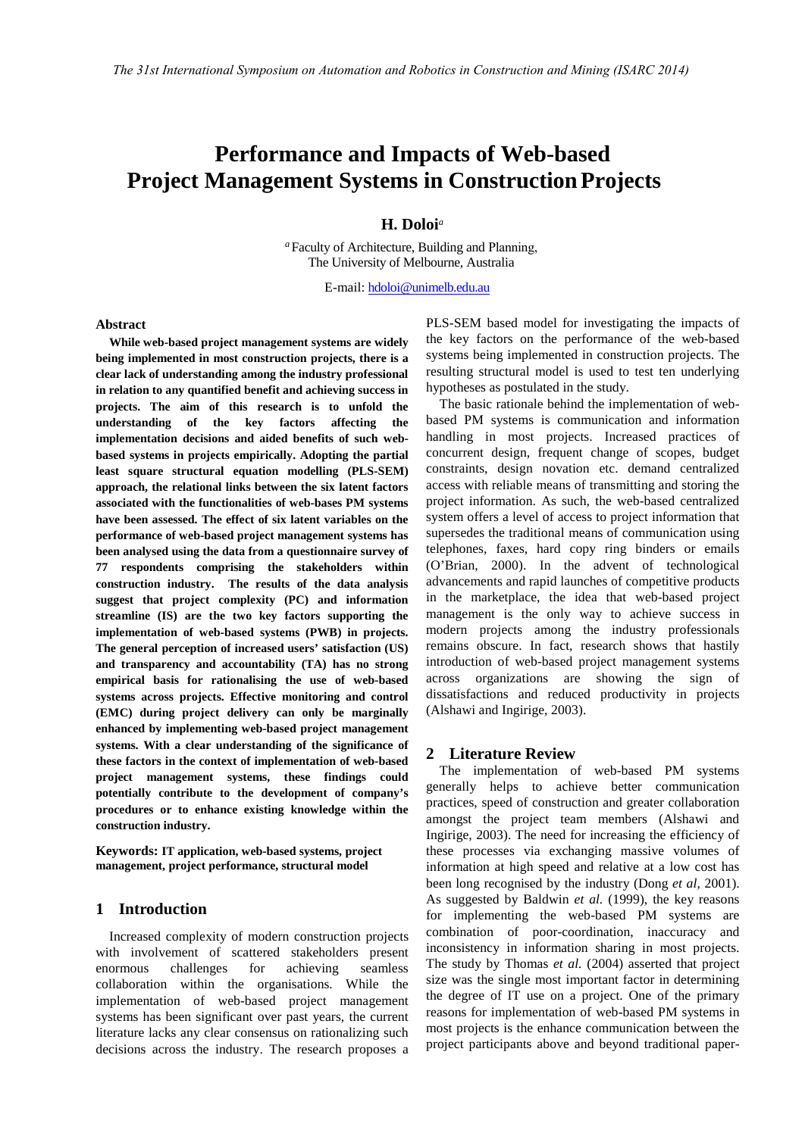# **Performance and Impacts of Web-based Project Management Systems in Construction Projects**

**H. Doloi***<sup>a</sup>*

*<sup>a</sup>*Faculty of Architecture, Building and Planning, The University of Melbourne, Australia

E-mail: hdoloi@unimelb.edu.au

#### **Abstract**

**While web-based project management systems are widely being implemented in most construction projects, there is a clear lack of understanding among the industry professional in relation to any quantified benefit and achieving success in projects. The aim of this research is to unfold the understanding of the key factors affecting the implementation decisions and aided benefits of such webbased systems in projects empirically. Adopting the partial least square structural equation modelling (PLS-SEM) approach, the relational links between the six latent factors associated with the functionalities of web-bases PM systems have been assessed. The effect of six latent variables on the performance of web-based project management systems has been analysed using the data from a questionnaire survey of 77 respondents comprising the stakeholders within construction industry. The results of the data analysis suggest that project complexity (PC) and information streamline (IS) are the two key factors supporting the implementation of web-based systems (PWB) in projects. The general perception of increased users' satisfaction (US) and transparency and accountability (TA) has no strong empirical basis for rationalising the use of web-based systems across projects. Effective monitoring and control (EMC) during project delivery can only be marginally enhanced by implementing web-based project management systems. With a clear understanding of the significance of these factors in the context of implementation of web-based project management systems, these findings could potentially contribute to the development of company's procedures or to enhance existing knowledge within the construction industry.**

**Keywords: IT application, web-based systems, project management, project performance, structural model**

## **1 Introduction**

Increased complexity of modern construction projects with involvement of scattered stakeholders present enormous challenges for achieving seamless collaboration within the organisations. While the implementation of web-based project management systems has been significant over past years, the current literature lacks any clear consensus on rationalizing such decisions across the industry. The research proposes a

PLS-SEM based model for investigating the impacts of [the key facto](mailto:hdoloi@unimelb.edu.au)rs on the performance of the web-based systems being implemented in construction projects. The resulting structural model is used to test ten underlying hypotheses as postulated in the study.

The basic rationale behind the implementation of webbased PM systems is communication and information handling in most projects. Increased practices of concurrent design, frequent change of scopes, budget constraints, design novation etc. demand centralized access with reliable means of transmitting and storing the project information. As such, the web-based centralized system offers a level of access to project information that supersedes the traditional means of communication using telephones, faxes, hard copy ring binders or emails (O'Brian, 2000). In the advent of technological advancements and rapid launches of competitive products in the marketplace, the idea that web-based project management is the only way to achieve success in modern projects among the industry professionals remains obscure. In fact, research shows that hastily introduction of web-based project management systems across organizations are showing the sign of dissatisfactions and reduced productivity in projects (Alshawi and Ingirige, 2003).

## **2 Literature Review**

The implementation of web-based PM systems generally helps to achieve better communication practices, speed of construction and greater collaboration amongst the project team members (Alshawi and Ingirige, 2003). The need for increasing the efficiency of these processes via exchanging massive volumes of information at high speed and relative at a low cost has been long recognised by the industry (Dong *et al,* 2001). As suggested by Baldwin *et al.* (1999), the key reasons for implementing the web-based PM systems are combination of poor-coordination, inaccuracy and inconsistency in information sharing in most projects. The study by Thomas *et al.* (2004) asserted that project size was the single most important factor in determining the degree of IT use on a project. One of the primary reasons for implementation of web-based PM systems in most projects is the enhance communication between the project participants above and beyond traditional paper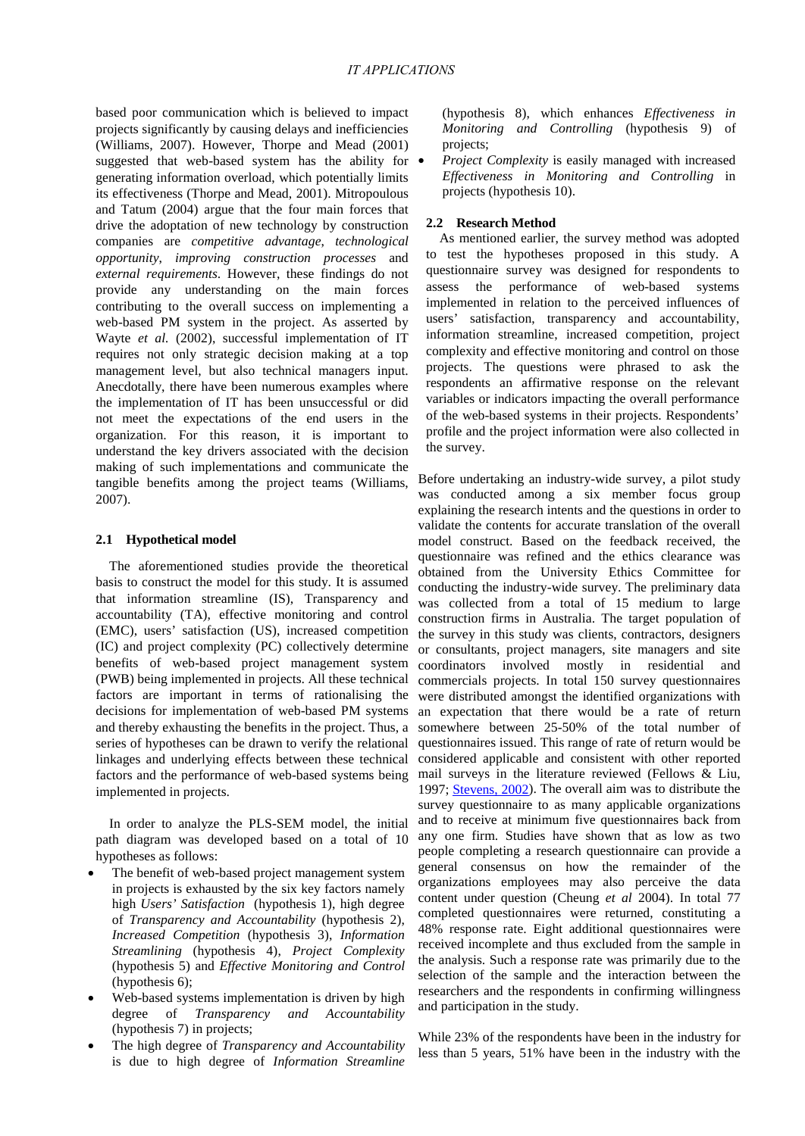based poor communication which is believed to impact projects significantly by causing delays and inefficiencies (Williams, 2007). However, Thorpe and Mead (2001) suggested that web-based system has the ability for  $\bullet$ generating information overload, which potentially limits its effectiveness (Thorpe and Mead, 2001). Mitropoulous and Tatum (2004) argue that the four main forces that drive the adoptation of new technology by construction companies are *competitive advantage*, *technological opportunity*, *improving construction processes* and *external requirements*. However, these findings do not provide any understanding on the main forces contributing to the overall success on implementing a web-based PM system in the project. As asserted by Wayte *et al.* (2002), successful implementation of IT requires not only strategic decision making at a top management level, but also technical managers input. Anecdotally, there have been numerous examples where the implementation of IT has been unsuccessful or did not meet the expectations of the end users in the organization. For this reason, it is important to understand the key drivers associated with the decision making of such implementations and communicate the tangible benefits among the project teams (Williams, 2007).

## **2.1 Hypothetical model**

The aforementioned studies provide the theoretical basis to construct the model for this study. It is assumed that information streamline (IS), Transparency and accountability (TA), effective monitoring and control (EMC), users' satisfaction (US), increased competition (IC) and project complexity (PC) collectively determine benefits of web-based project management system (PWB) being implemented in projects. All these technical factors are important in terms of rationalising the decisions for implementation of web-based PM systems and thereby exhausting the benefits in the project. Thus, a series of hypotheses can be drawn to verify the relational linkages and underlying effects between these technical factors and the performance of web-based systems being implemented in projects.

In order to analyze the PLS-SEM model, the initial path diagram was developed based on a total of 10 hypotheses as follows:

- The benefit of web-based project management system in projects is exhausted by the six key factors namely high *Users' Satisfaction* (hypothesis 1), high degree of *Transparency and Accountability* (hypothesis 2), *Increased Competition* (hypothesis 3), *Information Streamlining* (hypothesis 4), *Project Complexity* (hypothesis 5) and *Effective Monitoring and Control* (hypothesis 6);
- Web-based systems implementation is driven by high degree of *Transparency and Accountability* (hypothesis 7) in projects;
- The high degree of *Transparency and Accountability* is due to high degree of *Information Streamline*

(hypothesis 8), which enhances *Effectiveness in Monitoring and Controlling* (hypothesis 9) of projects;

• *Project Complexity* is easily managed with increased *Effectiveness in Monitoring and Controlling* in projects (hypothesis 10).

#### **2.2 Research Method**

As mentioned earlier, the survey method was adopted to test the hypotheses proposed in this study. A questionnaire survey was designed for respondents to assess the performance of web-based systems implemented in relation to the perceived influences of users' satisfaction, transparency and accountability, information streamline, increased competition, project complexity and effective monitoring and control on those projects. The questions were phrased to ask the respondents an affirmative response on the relevant variables or indicators impacting the overall performance of the web-based systems in their projects. Respondents' profile and the project information were also collected in the survey.

Before undertaking an industry-wide survey, a pilot study was conducted among a six member focus group explaining the research intents and the questions in order to validate the contents for accurate translation of the overall model construct. Based on the feedback received, the questionnaire was refined and the ethics clearance was obtained from the University Ethics Committee for conducting the industry-wide survey. The preliminary data was collected from a total of 15 medium to large construction firms in Australia. The target population of the survey in this study was clients, contractors, designers or consultants, project managers, site managers and site coordinators involved mostly in residential and commercials projects. In total 150 survey questionnaires were distributed amongst the identified organizations with an expectation that there would be a rate of return somewhere between 25-50% of the total number of questionnaires issued. This range of rate of return would be considered applicable and consistent with other reported mail surveys in the literature reviewed (Fellows & Liu, 1997; Stevens, 2002). The overall aim was to distribute the survey questionnaire to as many applicable organizations and to receive at minimum five questionnaires back from any one firm. Studies have shown that as low as two people completing a research questionnaire can provide a general consensus on how the remainder of the organizations employees may also perceive the data content under question (Cheung *et al* 2004). In total 77 completed questionnaires were returned, constituting a 48% response rate. Eight additional questionnaires were received incomplete and thus excluded from the sample in the analysis. Such a response rate was primarily due to the selection of the sample and the interaction between the researchers and the respondents in confirming willingness and participation in the study.

While 23% of the respondents have been in the industry for less than 5 years, 51% have been in the industry with the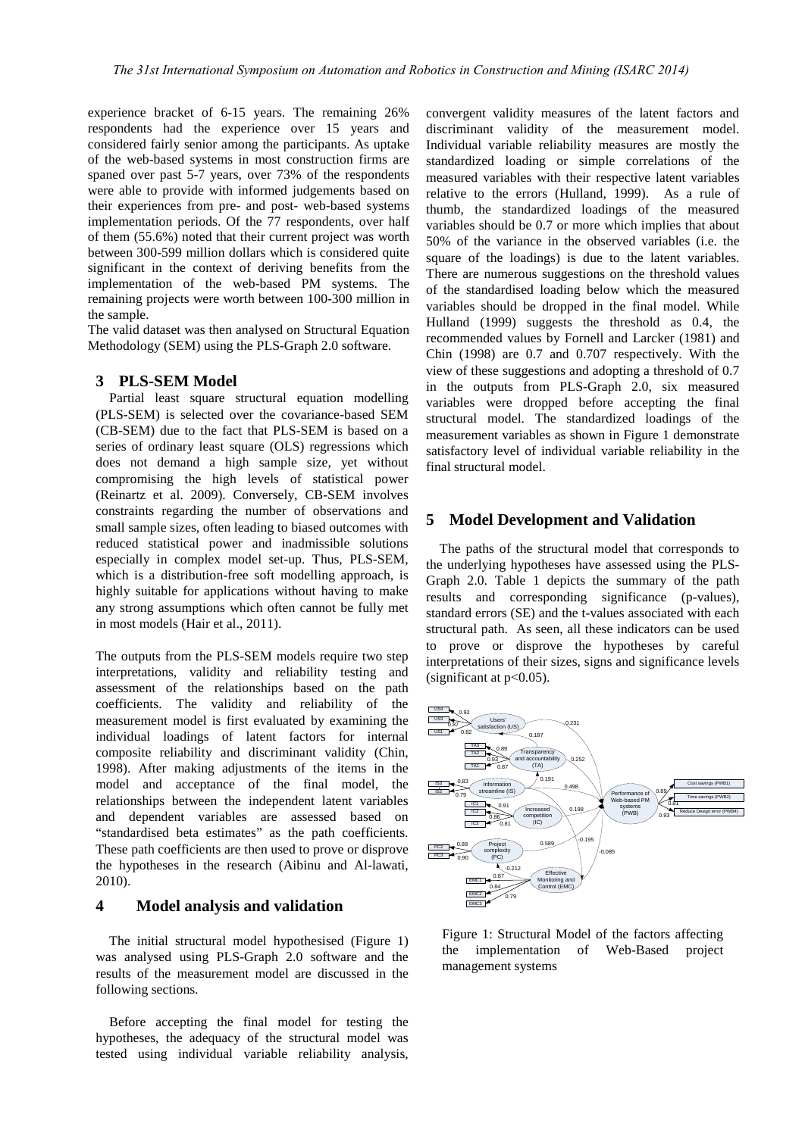experience bracket of 6-15 years. The remaining 26% respondents had the experience over 15 years and considered fairly senior among the participants. As uptake of the web-based systems in most construction firms are spaned over past 5-7 years, over 73% of the respondents were able to provide with informed judgements based on their experiences from pre- and post- web-based systems implementation periods. Of the 77 respondents, over half of them (55.6%) noted that their current project was worth between 300-599 million dollars which is considered quite significant in the context of deriving benefits from the implementation of the web-based PM systems. The remaining projects were worth between 100-300 million in the sample.

The valid dataset was then analysed on Structural Equation Methodology (SEM) using the PLS-Graph 2.0 software.

#### **3 PLS-SEM Model**

Partial least square structural equation modelling (PLS-SEM) is selected over the covariance-based SEM (CB-SEM) due to the fact that PLS-SEM is based on a series of ordinary least square (OLS) regressions which does not demand a high sample size, yet without compromising the high levels of statistical power (Reinartz et al. 2009). Conversely, CB-SEM involves constraints regarding the number of observations and small sample sizes, often leading to biased outcomes with reduced statistical power and inadmissible solutions especially in complex model set-up. Thus, PLS-SEM, which is a distribution-free soft modelling approach, is highly suitable for applications without having to make any strong assumptions which often cannot be fully met in most models (Hair et al., 2011).

The outputs from the PLS-SEM models require two step interpretations, validity and reliability testing and assessment of the relationships based on the path coefficients. The validity and reliability of the measurement model is first evaluated by examining the individual loadings of latent factors for internal composite reliability and discriminant validity (Chin, 1998). After making adjustments of the items in the model and acceptance of the final model, the relationships between the independent latent variables and dependent variables are assessed based on "standardised beta estimates" as the path coefficients. These path coefficients are then used to prove or disprove the hypotheses in the research (Aibinu and Al-lawati, 2010).

## **4 Model analysis and validation**

The initial structural model hypothesised (Figure 1) was analysed using PLS-Graph 2.0 software and the results of the measurement model are discussed in the following sections.

Before accepting the final model for testing the hypotheses, the adequacy of the structural model was tested using individual variable reliability analysis, convergent validity measures of the latent factors and discriminant validity of the measurement model. Individual variable reliability measures are mostly the standardized loading or simple correlations of the measured variables with their respective latent variables relative to the errors (Hulland, 1999). As a rule of thumb, the standardized loadings of the measured variables should be 0.7 or more which implies that about 50% of the variance in the observed variables (i.e. the square of the loadings) is due to the latent variables. There are numerous suggestions on the threshold values of the standardised loading below which the measured variables should be dropped in the final model. While Hulland (1999) suggests the threshold as 0.4, the recommended values by Fornell and Larcker (1981) and Chin (1998) are 0.7 and 0.707 respectively. With the view of these suggestions and adopting a threshold of 0.7 in the outputs from PLS-Graph 2.0, six measured variables were dropped before accepting the final structural model. The standardized loadings of the measurement variables as shown in Figure 1 demonstrate satisfactory level of individual variable reliability in the final structural model.

#### **5 Model Development and Validation**

The paths of the structural model that corresponds to the underlying hypotheses have assessed using the PLS-Graph 2.0. Table 1 depicts the summary of the path results and corresponding significance (p-values), standard errors (SE) and the t-values associated with each structural path. As seen, all these indicators can be used to prove or disprove the hypotheses by careful interpretations of their sizes, signs and significance levels (significant at  $p<0.05$ ).



Figure 1: Structural Model of the factors affecting the implementation of Web-Based project management systems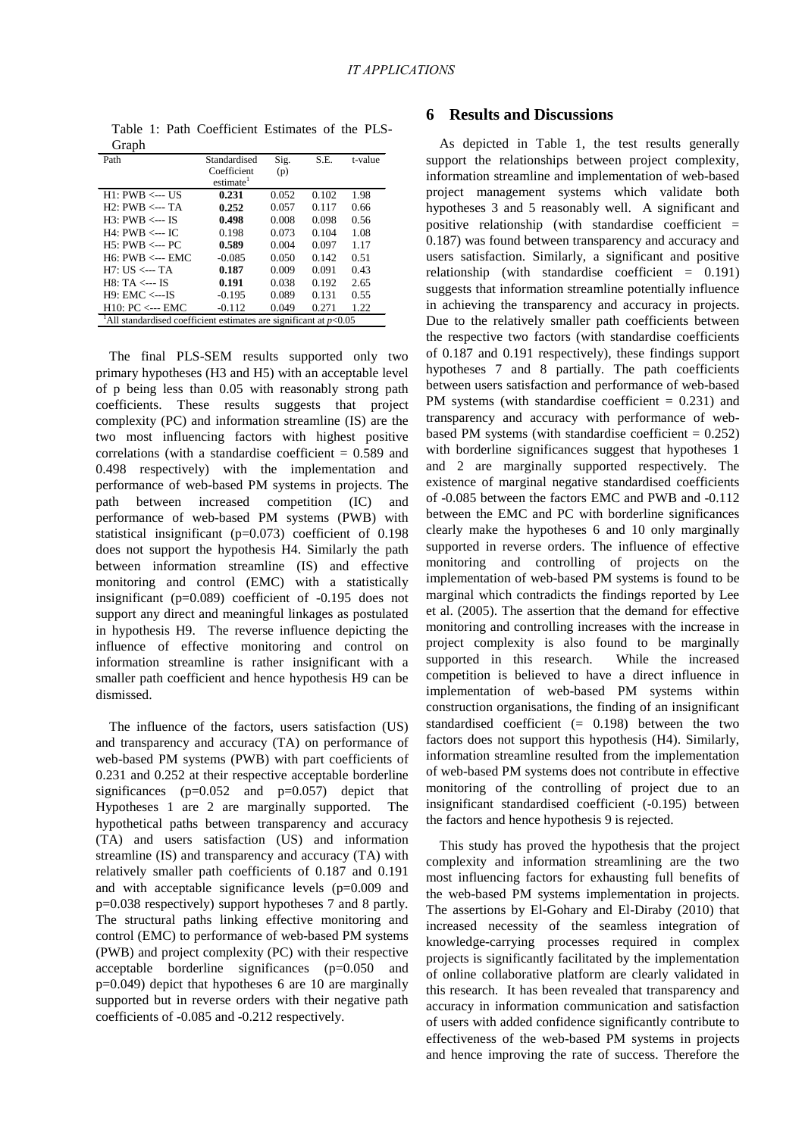Table 1: Path Coefficient Estimates of the PLS-**Graph** 

| $-$                                                                             |                       |       |       |         |
|---------------------------------------------------------------------------------|-----------------------|-------|-------|---------|
| Path                                                                            | Standardised          | Sig.  | S.E.  | t-value |
|                                                                                 | Coefficient           | (p)   |       |         |
|                                                                                 | estimate <sup>1</sup> |       |       |         |
| $H1: PWB \leftarrow$ --- US                                                     | 0.231                 | 0.052 | 0.102 | 1.98    |
| $H2: PWB \leftarrow TA$                                                         | 0.252                 | 0.057 | 0.117 | 0.66    |
| $H3: PWB \leftarrow I.S$                                                        | 0.498                 | 0.008 | 0.098 | 0.56    |
| $H4$ PWB $\leq$ --- IC                                                          | 0.198                 | 0.073 | 0.104 | 1.08    |
| $H5: PWB \leftarrow PCD$                                                        | 0.589                 | 0.004 | 0.097 | 1.17    |
| $H6$ : PWB $\leq$ --- EMC                                                       | $-0.085$              | 0.050 | 0.142 | 0.51    |
| $H7: US \leftarrow TA$                                                          | 0.187                 | 0.009 | 0.091 | 0.43    |
| $H8: TA \leftarrow SI$                                                          | 0.191                 | 0.038 | 0.192 | 2.65    |
| $H9: EMC \leftarrow -IS$                                                        | $-0.195$              | 0.089 | 0.131 | 0.55    |
| $H10: PC \leftarrow$ --- $EMC$                                                  | $-0.112$              | 0.049 | 0.271 | 1.22    |
| <sup>1</sup> All standardised coefficient estimates are significant at $p<0.05$ |                       |       |       |         |

The final PLS-SEM results supported only two primary hypotheses (H3 and H5) with an acceptable level of p being less than 0.05 with reasonably strong path coefficients. These results suggests that project complexity (PC) and information streamline (IS) are the two most influencing factors with highest positive correlations (with a standardise coefficient  $= 0.589$  and 0.498 respectively) with the implementation and performance of web-based PM systems in projects. The path between increased competition (IC) and performance of web-based PM systems (PWB) with statistical insignificant (p=0.073) coefficient of 0.198 does not support the hypothesis H4. Similarly the path between information streamline (IS) and effective monitoring and control (EMC) with a statistically insignificant (p=0.089) coefficient of -0.195 does not support any direct and meaningful linkages as postulated in hypothesis H9. The reverse influence depicting the influence of effective monitoring and control on information streamline is rather insignificant with a smaller path coefficient and hence hypothesis H9 can be dismissed.

The influence of the factors, users satisfaction (US) and transparency and accuracy (TA) on performance of web-based PM systems (PWB) with part coefficients of 0.231 and 0.252 at their respective acceptable borderline significances ( $p=0.052$  and  $p=0.057$ ) depict that Hypotheses 1 are 2 are marginally supported. The hypothetical paths between transparency and accuracy (TA) and users satisfaction (US) and information streamline (IS) and transparency and accuracy (TA) with relatively smaller path coefficients of 0.187 and 0.191 and with acceptable significance levels (p=0.009 and p=0.038 respectively) support hypotheses 7 and 8 partly. The structural paths linking effective monitoring and control (EMC) to performance of web-based PM systems (PWB) and project complexity (PC) with their respective acceptable borderline significances (p=0.050 and p=0.049) depict that hypotheses 6 are 10 are marginally supported but in reverse orders with their negative path coefficients of -0.085 and -0.212 respectively.

## **6 Results and Discussions**

As depicted in Table 1, the test results generally support the relationships between project complexity, information streamline and implementation of web-based project management systems which validate both hypotheses 3 and 5 reasonably well. A significant and positive relationship (with standardise coefficient = 0.187) was found between transparency and accuracy and users satisfaction. Similarly, a significant and positive relationship (with standardise coefficient = 0.191) suggests that information streamline potentially influence in achieving the transparency and accuracy in projects. Due to the relatively smaller path coefficients between the respective two factors (with standardise coefficients of 0.187 and 0.191 respectively), these findings support hypotheses 7 and 8 partially. The path coefficients between users satisfaction and performance of web-based PM systems (with standardise coefficient  $= 0.231$ ) and transparency and accuracy with performance of webbased PM systems (with standardise coefficient  $= 0.252$ ) with borderline significances suggest that hypotheses 1 and 2 are marginally supported respectively. The existence of marginal negative standardised coefficients of -0.085 between the factors EMC and PWB and -0.112 between the EMC and PC with borderline significances clearly make the hypotheses 6 and 10 only marginally supported in reverse orders. The influence of effective monitoring and controlling of projects on the implementation of web-based PM systems is found to be marginal which contradicts the findings reported by Lee et al. (2005). The assertion that the demand for effective monitoring and controlling increases with the increase in project complexity is also found to be marginally supported in this research. While the increased competition is believed to have a direct influence in implementation of web-based PM systems within construction organisations, the finding of an insignificant standardised coefficient  $(= 0.198)$  between the two factors does not support this hypothesis (H4). Similarly, information streamline resulted from the implementation of web-based PM systems does not contribute in effective monitoring of the controlling of project due to an insignificant standardised coefficient (-0.195) between the factors and hence hypothesis 9 is rejected.

This study has proved the hypothesis that the project complexity and information streamlining are the two most influencing factors for exhausting full benefits of the web-based PM systems implementation in projects. The assertions by El-Gohary and El-Diraby (2010) that increased necessity of the seamless integration of knowledge-carrying processes required in complex projects is significantly facilitated by the implementation of online collaborative platform are clearly validated in this research. It has been revealed that transparency and accuracy in information communication and satisfaction of users with added confidence significantly contribute to effectiveness of the web-based PM systems in projects and hence improving the rate of success. Therefore the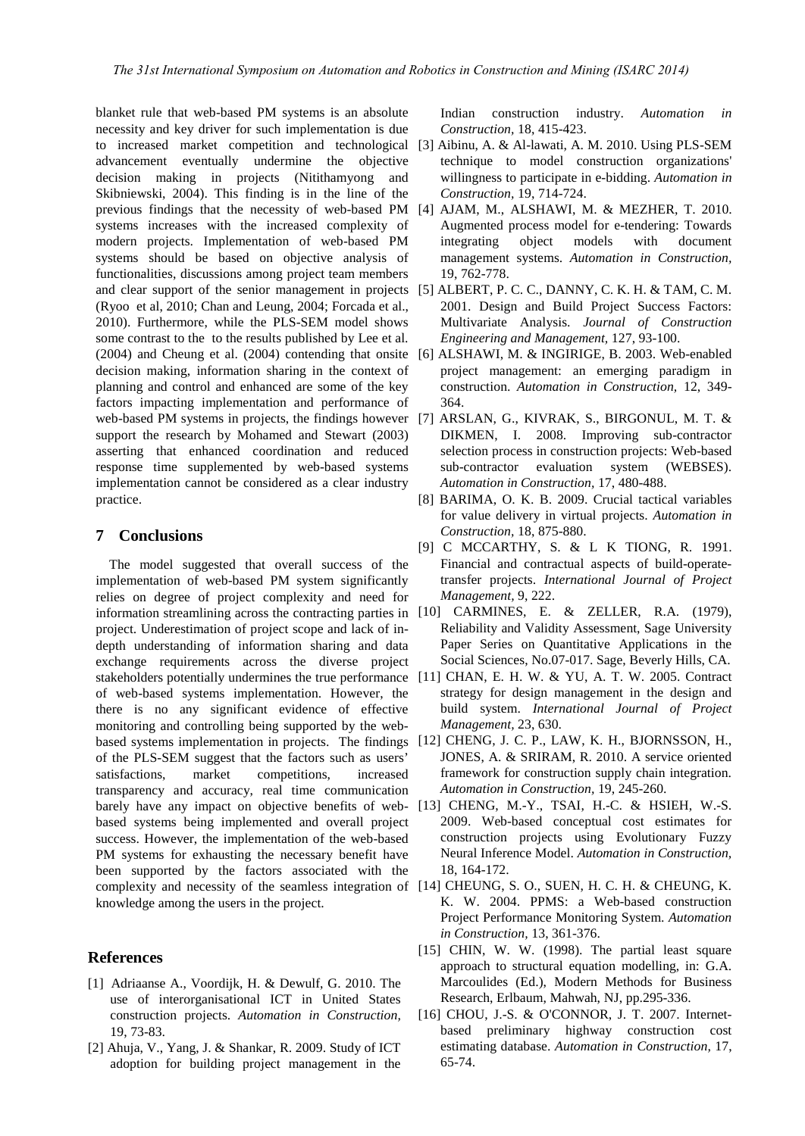blanket rule that web-based PM systems is an absolute necessity and key driver for such implementation is due to increased market competition and technological advancement eventually undermine the objective decision making in projects (Nitithamyong and Skibniewski, 2004). This finding is in the line of the previous findings that the necessity of web-based PM systems increases with the increased complexity of modern projects. Implementation of web-based PM systems should be based on objective analysis of functionalities, discussions among project team members and clear support of the senior management in projects [5] ALBERT, P. C. C., DANNY, C. K. H. & TAM, C. M. (Ryoo et al, 2010; Chan and Leung, 2004; Forcada et al., 2010). Furthermore, while the PLS-SEM model shows some contrast to the to the results published by Lee et al. (2004) and Cheung et al. (2004) contending that onsite decision making, information sharing in the context of planning and control and enhanced are some of the key factors impacting implementation and performance of web-based PM systems in projects, the findings however [7] support the research by Mohamed and Stewart (2003) asserting that enhanced coordination and reduced response time supplemented by web-based systems implementation cannot be considered as a clear industry practice.

## **7 Conclusions**

The model suggested that overall success of the implementation of web-based PM system significantly relies on degree of project complexity and need for information streamlining across the contracting parties in [10] CARMINES, E. & ZELLER, R.A. (1979), project. Underestimation of project scope and lack of indepth understanding of information sharing and data exchange requirements across the diverse project stakeholders potentially undermines the true performance of web-based systems implementation. However, the there is no any significant evidence of effective monitoring and controlling being supported by the webbased systems implementation in projects. The findings of the PLS-SEM suggest that the factors such as users' satisfactions, market competitions, increased transparency and accuracy, real time communication barely have any impact on objective benefits of webbased systems being implemented and overall project success. However, the implementation of the web-based PM systems for exhausting the necessary benefit have been supported by the factors associated with the complexity and necessity of the seamless integration of [14] CHEUNG, S. O., SUEN, H. C. H. & CHEUNG, K. knowledge among the users in the project.

## **References**

- [1] Adriaanse A., Voordijk, H. & Dewulf, G. 2010. The use of interorganisational ICT in United States construction projects. *Automation in Construction,* 19, 73-83.
- [2] Ahuja, V., Yang, J. & Shankar, R. 2009. Study of ICT adoption for building project management in the

Indian construction industry. *Automation in Construction,* 18, 415-423.

- [3] Aibinu, A. & Al-lawati, A. M. 2010. Using PLS-SEM technique to model construction organizations' willingness to participate in e-bidding. *Automation in Construction,* 19, 714-724.
- [4] AJAM, M., ALSHAWI, M. & MEZHER, T. 2010. Augmented process model for e-tendering: Towards integrating object models with document management systems. *Automation in Construction,* 19, 762-778.
- 2001. Design and Build Project Success Factors: Multivariate Analysis. *Journal of Construction Engineering and Management,* 127, 93-100.
- [6] ALSHAWI, M. & INGIRIGE, B. 2003. Web-enabled project management: an emerging paradigm in construction. *Automation in Construction,* 12, 349- 364.
- [7] ARSLAN, G., KIVRAK, S., BIRGONUL, M. T. & DIKMEN, I. 2008. Improving sub-contractor selection process in construction projects: Web-based sub-contractor evaluation system (WEBSES). *Automation in Construction,* 17, 480-488.
- [8] BARIMA, O. K. B. 2009. Crucial tactical variables for value delivery in virtual projects. *Automation in Construction,* 18, 875-880.
- [9] C MCCARTHY, S. & L K TIONG, R. 1991. Financial and contractual aspects of build-operatetransfer projects. *International Journal of Project Management,* 9, 222.
- Reliability and Validity Assessment, Sage University Paper Series on Quantitative Applications in the Social Sciences, No.07-017. Sage, Beverly Hills, CA.
- [11] CHAN, E. H. W. & YU, A. T. W. 2005. Contract strategy for design management in the design and build system. *International Journal of Project Management,* 23, 630.
- [12] CHENG, J. C. P., LAW, K. H., BJORNSSON, H., JONES, A. & SRIRAM, R. 2010. A service oriented framework for construction supply chain integration. *Automation in Construction,* 19, 245-260.
- [13] CHENG, M.-Y., TSAI, H.-C. & HSIEH, W.-S. 2009. Web-based conceptual cost estimates for construction projects using Evolutionary Fuzzy Neural Inference Model. *Automation in Construction,* 18, 164-172.
- K. W. 2004. PPMS: a Web-based construction Project Performance Monitoring System. *Automation in Construction,* 13, 361-376.
- [15] CHIN, W. W. (1998). The partial least square approach to structural equation modelling, in: G.A. Marcoulides (Ed.), Modern Methods for Business Research, Erlbaum, Mahwah, NJ, pp.295-336.
- [16] CHOU, J.-S. & O'CONNOR, J. T. 2007. Internetbased preliminary highway construction cost estimating database. *Automation in Construction,* 17, 65-74.